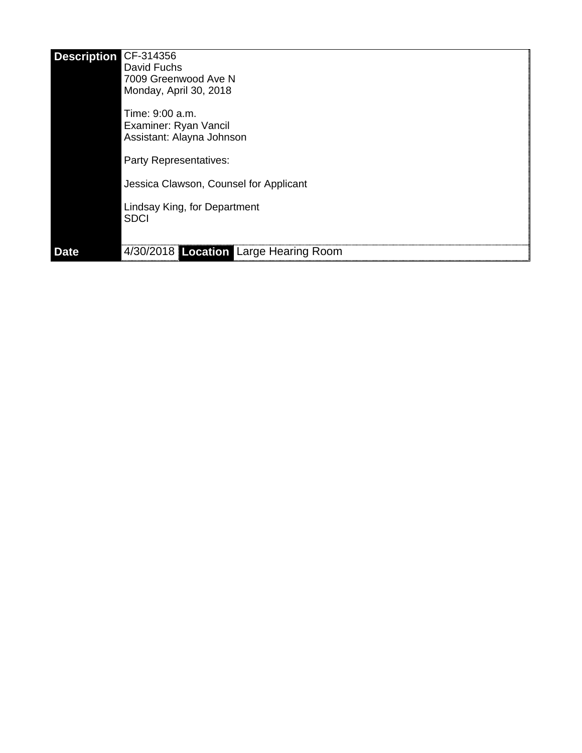| <b>Description</b> | CF-314356<br>David Fuchs<br>7009 Greenwood Ave N<br>Monday, April 30, 2018<br>Time: 9:00 a.m. |
|--------------------|-----------------------------------------------------------------------------------------------|
|                    | Examiner: Ryan Vancil<br>Assistant: Alayna Johnson<br>Party Representatives:                  |
|                    | Jessica Clawson, Counsel for Applicant                                                        |
|                    | Lindsay King, for Department<br><b>SDCI</b>                                                   |
| <b>Date</b>        | 4/30/2018 Location Large Hearing Room                                                         |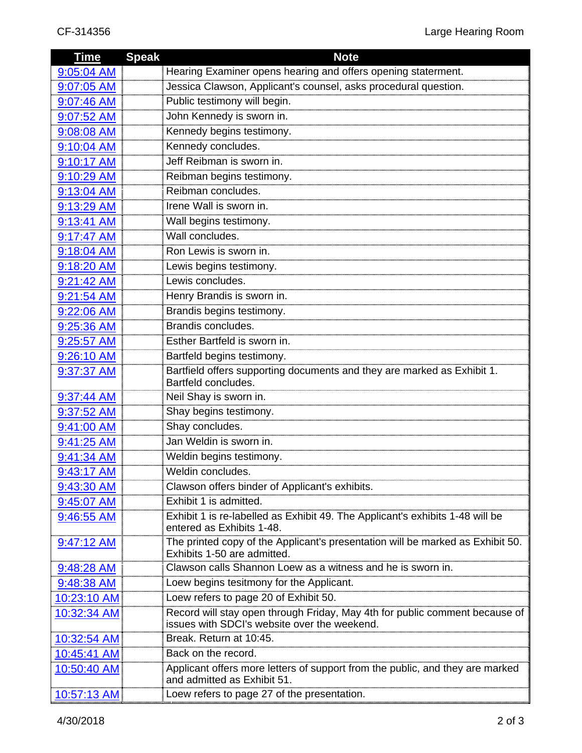| <b>Time</b> | <b>Speak</b> | <b>Note</b>                                                                                                                 |
|-------------|--------------|-----------------------------------------------------------------------------------------------------------------------------|
| 9:05:04 AM  |              | Hearing Examiner opens hearing and offers opening staterment.                                                               |
| 9:07:05 AM  |              | Jessica Clawson, Applicant's counsel, asks procedural question.                                                             |
| 9:07:46 AM  |              | Public testimony will begin.                                                                                                |
| 9:07:52 AM  |              | John Kennedy is sworn in.                                                                                                   |
| 9:08:08 AM  |              | Kennedy begins testimony.                                                                                                   |
| 9:10:04 AM  |              | Kennedy concludes.                                                                                                          |
| 9:10:17 AM  |              | Jeff Reibman is sworn in.                                                                                                   |
| 9:10:29 AM  |              | Reibman begins testimony.                                                                                                   |
| 9:13:04 AM  |              | Reibman concludes.                                                                                                          |
| 9:13:29 AM  |              | Irene Wall is sworn in.                                                                                                     |
| 9:13:41 AM  |              | Wall begins testimony.                                                                                                      |
| 9:17:47 AM  |              | Wall concludes.                                                                                                             |
| 9:18:04 AM  |              | Ron Lewis is sworn in.                                                                                                      |
| 9:18:20 AM  |              | Lewis begins testimony.                                                                                                     |
| 9:21:42 AM  |              | Lewis concludes.                                                                                                            |
| 9:21:54 AM  |              | Henry Brandis is sworn in.                                                                                                  |
| 9:22:06 AM  |              | Brandis begins testimony.                                                                                                   |
| 9:25:36 AM  |              | Brandis concludes.                                                                                                          |
| 9:25:57 AM  |              | Esther Bartfeld is sworn in.                                                                                                |
| 9:26:10 AM  |              | Bartfeld begins testimony.                                                                                                  |
| 9:37:37 AM  |              | Bartfield offers supporting documents and they are marked as Exhibit 1.                                                     |
|             |              | Bartfeld concludes.                                                                                                         |
| 9:37:44 AM  |              | Neil Shay is sworn in.                                                                                                      |
| 9:37:52 AM  |              | Shay begins testimony.                                                                                                      |
| 9:41:00 AM  |              | Shay concludes.<br>Jan Weldin is sworn in.                                                                                  |
| 9:41:25 AM  |              |                                                                                                                             |
| 9:41:34 AM  |              | Weldin begins testimony.                                                                                                    |
| 9:43:17 AM  |              | Weldin concludes.                                                                                                           |
| 9:43:30 AM  |              | Clawson offers binder of Applicant's exhibits.<br>Exhibit 1 is admitted.                                                    |
| 9:45:07 AM  |              |                                                                                                                             |
| 9:46:55 AM  |              | Exhibit 1 is re-labelled as Exhibit 49. The Applicant's exhibits 1-48 will be<br>entered as Exhibits 1-48.                  |
| 9:47:12 AM  |              | The printed copy of the Applicant's presentation will be marked as Exhibit 50.                                              |
|             |              | Exhibits 1-50 are admitted.                                                                                                 |
| 9:48:28 AM  |              | Clawson calls Shannon Loew as a witness and he is sworn in.                                                                 |
| 9:48:38 AM  |              | Loew begins tesitmony for the Applicant.                                                                                    |
| 10:23:10 AM |              | Loew refers to page 20 of Exhibit 50.                                                                                       |
| 10:32:34 AM |              | Record will stay open through Friday, May 4th for public comment because of<br>issues with SDCI's website over the weekend. |
| 10:32:54 AM |              | Break. Return at 10:45.                                                                                                     |
| 10:45:41 AM |              | Back on the record.                                                                                                         |
| 10:50:40 AM |              | Applicant offers more letters of support from the public, and they are marked<br>and admitted as Exhibit 51.                |
| 10:57:13 AM |              | Loew refers to page 27 of the presentation.                                                                                 |